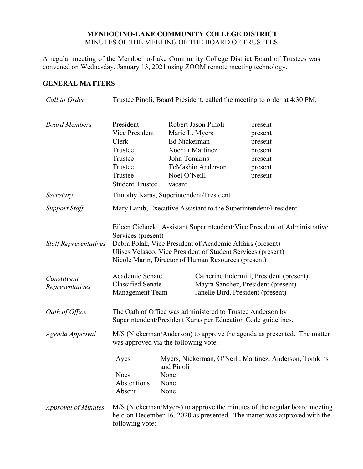### **MENDOCINO-LAKE COMMUNITY COLLEGE DISTRICT** MINUTES OF THE MEETING OF THE BOARD OF TRUSTEES

A regular meeting of the Mendocino-Lake Community College District Board of Trustees was convened on Wednesday, January 13, 2021 using ZOOM remote meeting technology.

# **GENERAL MATTERS**

| Call to Order                               | Trustee Pinoli, Board President, called the meeting to order at 4:30 PM.                                                                                                                                                                                                                                                                            |                                                                                                     |                                                                         |                                                                                                                                                       |  |
|---------------------------------------------|-----------------------------------------------------------------------------------------------------------------------------------------------------------------------------------------------------------------------------------------------------------------------------------------------------------------------------------------------------|-----------------------------------------------------------------------------------------------------|-------------------------------------------------------------------------|-------------------------------------------------------------------------------------------------------------------------------------------------------|--|
| <b>Board Members</b>                        | President<br>Vice President<br>Clerk<br>Trustee<br>Trustee<br>Trustee<br>Trustee<br><b>Student Trustee</b>                                                                                                                                                                                                                                          | Marie L. Myers<br>Ed Nickerman<br><b>Xochilt Martinez</b><br>John Tomkins<br>Noel O'Neill<br>vacant | Robert Jason Pinoli<br>TeMashio Anderson                                | present<br>present<br>present<br>present<br>present<br>present<br>present                                                                             |  |
| Secretary                                   | Timothy Karas, Superintendent/President                                                                                                                                                                                                                                                                                                             |                                                                                                     |                                                                         |                                                                                                                                                       |  |
| <b>Support Staff</b>                        | Mary Lamb, Executive Assistant to the Superintendent/President                                                                                                                                                                                                                                                                                      |                                                                                                     |                                                                         |                                                                                                                                                       |  |
| <b>Staff Representatives</b><br>Constituent | Eileen Cichocki, Assistant Superintendent/Vice President of Administrative<br>Services (present)<br>Debra Polak, Vice President of Academic Affairs (present)<br>Ulises Velasco, Vice President of Student Services (present)<br>Nicole Marin, Director of Human Resources (present)<br>Academic Senate<br>Catherine Indermill, President (present) |                                                                                                     |                                                                         |                                                                                                                                                       |  |
| Representatives                             | <b>Classified Senate</b><br>Management Team                                                                                                                                                                                                                                                                                                         |                                                                                                     | Mayra Sanchez, President (present)<br>Janelle Bird, President (present) |                                                                                                                                                       |  |
| Oath of Office                              | The Oath of Office was administered to Trustee Anderson by<br>Superintendent/President Karas per Education Code guidelines.                                                                                                                                                                                                                         |                                                                                                     |                                                                         |                                                                                                                                                       |  |
| Agenda Approval                             | M/S (Nickerman/Anderson) to approve the agenda as presented. The matter<br>was approved via the following vote:                                                                                                                                                                                                                                     |                                                                                                     |                                                                         |                                                                                                                                                       |  |
|                                             | Ayes<br><b>Noes</b><br>Abstentions<br>Absent                                                                                                                                                                                                                                                                                                        | and Pinoli<br>None<br>None<br>None                                                                  |                                                                         | Myers, Nickerman, O'Neill, Martinez, Anderson, Tomkins                                                                                                |  |
| <i>Approval of Minutes</i>                  | following vote:                                                                                                                                                                                                                                                                                                                                     |                                                                                                     |                                                                         | M/S (Nickerman/Myers) to approve the minutes of the regular board meeting<br>held on December 16, 2020 as presented. The matter was approved with the |  |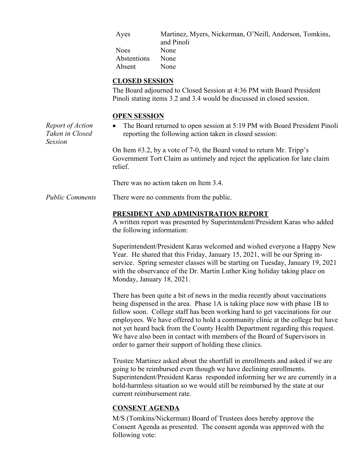| Ayes        | Martinez, Myers, Nickerman, O'Neill, Anderson, Tomkins, |
|-------------|---------------------------------------------------------|
|             | and Pinoli                                              |
| <b>Noes</b> | None                                                    |
| Abstentions | None                                                    |
| Absent      | None                                                    |

#### **CLOSED SESSION**

The Board adjourned to Closed Session at 4:36 PM with Board President Pinoli stating items 3.2 and 3.4 would be discussed in closed session.

#### **OPEN SESSION**

*Report of Action Taken in Closed Session* The Board returned to open session at 5:19 PM with Board President Pinoli reporting the following action taken in closed session: On Item #3.2, by a vote of 7-0, the Board voted to return Mr. Tripp's Government Tort Claim as untimely and reject the application for late claim relief.

There was no action taken on Item 3.4.

*Public Comments* There were no comments from the public.

#### **PRESIDENT AND ADMINISTRATION REPORT**

A written report was presented by Superintendent/President Karas who added the following information:

Superintendent/President Karas welcomed and wished everyone a Happy New Year. He shared that this Friday, January 15, 2021, will be our Spring inservice. Spring semester classes will be starting on Tuesday, January 19, 2021 with the observance of the Dr. Martin Luther King holiday taking place on Monday, January 18, 2021.

There has been quite a bit of news in the media recently about vaccinations being dispensed in the area. Phase 1A is taking place now with phase 1B to follow soon. College staff has been working hard to get vaccinations for our employees. We have offered to hold a community clinic at the college but have not yet heard back from the County Health Department regarding this request. We have also been in contact with members of the Board of Supervisors in order to garner their support of holding these clinics.

Trustee Martinez asked about the shortfall in enrollments and asked if we are going to be reimbursed even though we have declining enrollments. Superintendent/President Karas responded informing her we are currently in a hold-harmless situation so we would still be reimbursed by the state at our current reimbursement rate.

## **CONSENT AGENDA**

M/S (Tomkins/Nickerman) Board of Trustees does hereby approve the Consent Agenda as presented. The consent agenda was approved with the following vote: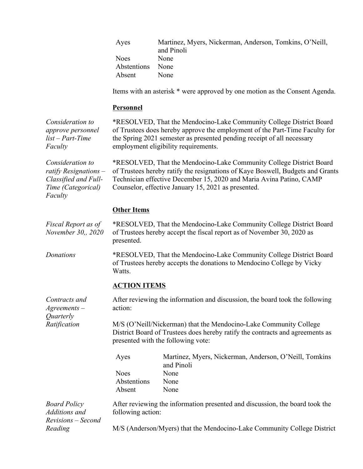| Ayes        | Martinez, Myers, Nickerman, Anderson, Tomkins, O'Neill, |
|-------------|---------------------------------------------------------|
|             | and Pinoli                                              |
| <b>Noes</b> | None                                                    |
| Abstentions | None                                                    |
| Absent      | None                                                    |

Items with an asterisk \* were approved by one motion as the Consent Agenda.

#### **Personnel**

*Consideration to approve personnel list – Part-Time Faculty* \*RESOLVED, That the Mendocino-Lake Community College District Board of Trustees does hereby approve the employment of the Part-Time Faculty for the Spring 2021 semester as presented pending receipt of all necessary employment eligibility requirements. *Consideration to ratify Resignations – Classified and Full-Time (Categorical) Faculty* \*RESOLVED, That the Mendocino-Lake Community College District Board of Trustees hereby ratify the resignations of Kaye Boswell, Budgets and Grants Technician effective December 15, 2020 and Maria Avina Patino, CAMP Counselor, effective January 15, 2021 as presented. **Other Items** *Fiscal Report as of November 30,, 2020* \*RESOLVED, That the Mendocino-Lake Community College District Board of Trustees hereby accept the fiscal report as of November 30, 2020 as presented. *Donations* \*RESOLVED, That the Mendocino-Lake Community College District Board of Trustees hereby accepts the donations to Mendocino College by Vicky Watts. **ACTION ITEMS** *Contracts and Agreements – Quarterly Ratification* After reviewing the information and discussion, the board took the following action: M/S (O'Neill/Nickerman) that the Mendocino-Lake Community College District Board of Trustees does hereby ratify the contracts and agreements as presented with the following vote: Ayes Martinez, Myers, Nickerman, Anderson, O'Neill, Tomkins and Pinoli Noes None Abstentions None Absent None *Board Policy Additions and Revisions – Second Reading* After reviewing the information presented and discussion, the board took the following action: M/S (Anderson/Myers) that the Mendocino-Lake Community College District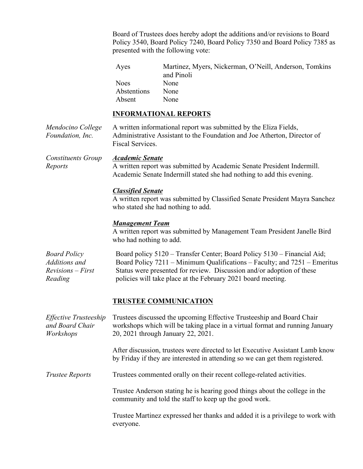Board of Trustees does hereby adopt the additions and/or revisions to Board Policy 3540, Board Policy 7240, Board Policy 7350 and Board Policy 7385 as presented with the following vote:

| Ayes        | Martinez, Myers, Nickerman, O'Neill, Anderson, Tomkins |
|-------------|--------------------------------------------------------|
|             | and Pinoli                                             |
| <b>Noes</b> | None                                                   |
| Abstentions | None                                                   |
| Absent      | None                                                   |

## **INFORMATIONAL REPORTS**

| Mendocino College<br>Foundation, Inc.                                  | A written informational report was submitted by the Eliza Fields,<br>Administrative Assistant to the Foundation and Joe Atherton, Director of<br>Fiscal Services.                                                                                                                             |  |  |  |
|------------------------------------------------------------------------|-----------------------------------------------------------------------------------------------------------------------------------------------------------------------------------------------------------------------------------------------------------------------------------------------|--|--|--|
| <b>Constituents Group</b><br>Reports                                   | <b>Academic Senate</b><br>A written report was submitted by Academic Senate President Indermill.<br>Academic Senate Indermill stated she had nothing to add this evening.                                                                                                                     |  |  |  |
|                                                                        | <b>Classified Senate</b><br>A written report was submitted by Classified Senate President Mayra Sanchez<br>who stated she had nothing to add.                                                                                                                                                 |  |  |  |
|                                                                        | <b>Management Team</b><br>A written report was submitted by Management Team President Janelle Bird<br>who had nothing to add.                                                                                                                                                                 |  |  |  |
| <b>Board Policy</b><br>Additions and<br>$Revisions - First$<br>Reading | Board policy 5120 - Transfer Center; Board Policy 5130 - Financial Aid;<br>Board Policy 7211 – Minimum Qualifications – Faculty; and 7251 – Emeritus<br>Status were presented for review. Discussion and/or adoption of these<br>policies will take place at the February 2021 board meeting. |  |  |  |
|                                                                        | <b>TRUSTEE COMMUNICATION</b>                                                                                                                                                                                                                                                                  |  |  |  |
| Effective Trusteeship<br>and Board Chair<br>Workshops                  | Trustees discussed the upcoming Effective Trusteeship and Board Chair<br>workshops which will be taking place in a virtual format and running January<br>20, 2021 through January 22, 2021.                                                                                                   |  |  |  |
|                                                                        | After discussion, trustees were directed to let Executive Assistant Lamb know<br>by Friday if they are interested in attending so we can get them registered.                                                                                                                                 |  |  |  |
| <b>Trustee Reports</b>                                                 | Trustees commented orally on their recent college-related activities.                                                                                                                                                                                                                         |  |  |  |
|                                                                        | Trustee Anderson stating he is hearing good things about the college in the<br>community and told the staff to keep up the good work.                                                                                                                                                         |  |  |  |
|                                                                        | Trustee Martinez expressed her thanks and added it is a privilege to work with<br>everyone.                                                                                                                                                                                                   |  |  |  |